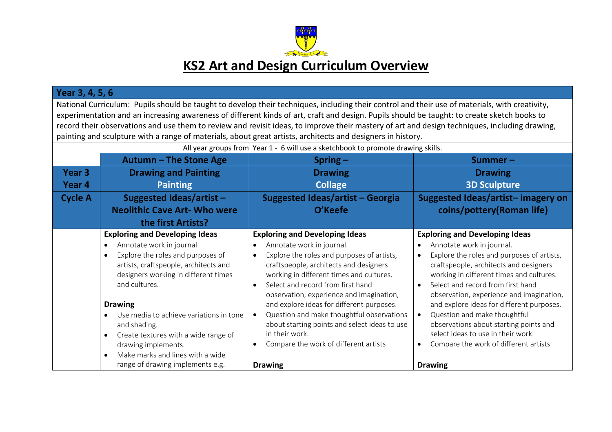

#### **Year 3, 4, 5, 6**

National Curriculum: Pupils should be taught to develop their techniques, including their control and their use of materials, with creativity, experimentation and an increasing awareness of different kinds of art, craft and design. Pupils should be taught: to create sketch books to record their observations and use them to review and revisit ideas, to improve their mastery of art and design techniques, including drawing, painting and sculpture with a range of materials, about great artists, architects and designers in history.

| All year groups from Year 1 - 6 will use a sketchbook to promote drawing skills. |                                                                                                                                                                                      |                                                                                                                                                                                                                   |                                                                                                                                                                                                                   |  |
|----------------------------------------------------------------------------------|--------------------------------------------------------------------------------------------------------------------------------------------------------------------------------------|-------------------------------------------------------------------------------------------------------------------------------------------------------------------------------------------------------------------|-------------------------------------------------------------------------------------------------------------------------------------------------------------------------------------------------------------------|--|
|                                                                                  | Autumn - The Stone Age                                                                                                                                                               | $Spring -$                                                                                                                                                                                                        | Summer-                                                                                                                                                                                                           |  |
| Year 3                                                                           | <b>Drawing and Painting</b>                                                                                                                                                          | <b>Drawing</b>                                                                                                                                                                                                    | <b>Drawing</b>                                                                                                                                                                                                    |  |
| Year 4                                                                           | <b>Painting</b>                                                                                                                                                                      | <b>Collage</b>                                                                                                                                                                                                    | <b>3D Sculpture</b>                                                                                                                                                                                               |  |
| <b>Cycle A</b>                                                                   | Suggested Ideas/artist $-$                                                                                                                                                           | Suggested Ideas/artist - Georgia                                                                                                                                                                                  | Suggested Ideas/artist-imagery on                                                                                                                                                                                 |  |
|                                                                                  | <b>Neolithic Cave Art- Who were</b>                                                                                                                                                  | O'Keefe                                                                                                                                                                                                           | coins/pottery(Roman life)                                                                                                                                                                                         |  |
|                                                                                  | the first Artists?                                                                                                                                                                   |                                                                                                                                                                                                                   |                                                                                                                                                                                                                   |  |
|                                                                                  | <b>Exploring and Developing Ideas</b>                                                                                                                                                | <b>Exploring and Developing Ideas</b>                                                                                                                                                                             | <b>Exploring and Developing Ideas</b>                                                                                                                                                                             |  |
|                                                                                  | Annotate work in journal.                                                                                                                                                            | Annotate work in journal.                                                                                                                                                                                         | Annotate work in journal.                                                                                                                                                                                         |  |
|                                                                                  | Explore the roles and purposes of<br>$\bullet$<br>artists, craftspeople, architects and<br>designers working in different times<br>and cultures.                                     | Explore the roles and purposes of artists,<br>craftspeople, architects and designers<br>working in different times and cultures.<br>Select and record from first hand<br>observation, experience and imagination, | Explore the roles and purposes of artists,<br>craftspeople, architects and designers<br>working in different times and cultures.<br>Select and record from first hand<br>observation, experience and imagination, |  |
|                                                                                  | <b>Drawing</b>                                                                                                                                                                       | and explore ideas for different purposes.                                                                                                                                                                         | and explore ideas for different purposes.                                                                                                                                                                         |  |
|                                                                                  | Use media to achieve variations in tone<br>and shading.<br>Create textures with a wide range of<br>$\bullet$<br>drawing implements.<br>Make marks and lines with a wide<br>$\bullet$ | Question and make thoughtful observations<br>about starting points and select ideas to use<br>in their work.<br>Compare the work of different artists                                                             | Question and make thoughtful<br>observations about starting points and<br>select ideas to use in their work.<br>Compare the work of different artists                                                             |  |
|                                                                                  | range of drawing implements e.g.                                                                                                                                                     | <b>Drawing</b>                                                                                                                                                                                                    | <b>Drawing</b>                                                                                                                                                                                                    |  |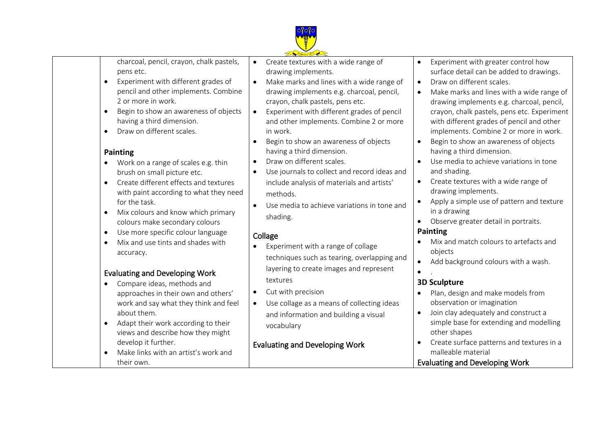

charcoal, pencil, crayon, chalk pastels, pens etc.

- Experiment with different grades of pencil and other implements. Combine 2 or more in work.
- Begin to show an awareness of objects having a third dimension.
- Draw on different scales.

#### **Painting**

- Work on a range of scales e.g. thin brush on small picture etc.
- Create different effects and textures with paint according to what they need for the task.
- Mix colours and know which primary colours make secondary colours
- Use more specific colour language
- Mix and use tints and shades with accuracy.

# Evaluating and Developing Work

- Compare ideas, methods and approaches in their own and others' work and say what they think and feel about them.
- Adapt their work according to their views and describe how they might develop it further.
- Make links with an artist's work and their own.

 Create textures with a wide range of drawing implements.

- Make marks and lines with a wide range of drawing implements e.g. charcoal, pencil, crayon, chalk pastels, pens etc.
- Experiment with different grades of pencil and other implements. Combine 2 or more in work.
- Begin to show an awareness of objects having a third dimension.
- Draw on different scales.
- Use journals to collect and record ideas and include analysis of materials and artists' methods.
- Use media to achieve variations in tone and shading.

#### Collage

- Experiment with a range of collage techniques such as tearing, overlapping and layering to create images and represent textures
- Cut with precision
- Use collage as a means of collecting ideas and information and building a visual vocabulary

# Evaluating and Developing Work

- Experiment with greater control how surface detail can be added to drawings.
- Draw on different scales.
- Make marks and lines with a wide range of drawing implements e.g. charcoal, pencil, crayon, chalk pastels, pens etc. Experiment with different grades of pencil and other implements. Combine 2 or more in work.
- Begin to show an awareness of objects having a third dimension.
- Use media to achieve variations in tone and shading.
- Create textures with a wide range of drawing implements.
- Apply a simple use of pattern and texture in a drawing
- Observe greater detail in portraits.

#### **Painting**

- Mix and match colours to artefacts and objects
- Add background colours with a wash.

# **3D Sculpture**

.

- Plan, design and make models from observation or imagination
- Join clay adequately and construct a simple base for extending and modelling other shapes
- Create surface patterns and textures in a malleable material
- Evaluating and Developing Work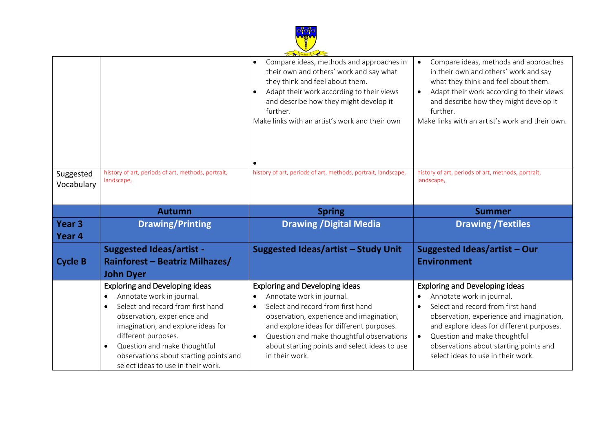

|                   |                                                                              | Founded 18 Page                                                                                  |                                                                                             |
|-------------------|------------------------------------------------------------------------------|--------------------------------------------------------------------------------------------------|---------------------------------------------------------------------------------------------|
|                   |                                                                              | Compare ideas, methods and approaches in<br>$\bullet$<br>their own and others' work and say what | Compare ideas, methods and approaches<br>$\bullet$<br>in their own and others' work and say |
|                   |                                                                              | they think and feel about them.                                                                  | what they think and feel about them.                                                        |
|                   |                                                                              | Adapt their work according to their views                                                        | Adapt their work according to their views                                                   |
|                   |                                                                              | and describe how they might develop it                                                           | and describe how they might develop it                                                      |
|                   |                                                                              | further.                                                                                         | further.                                                                                    |
|                   |                                                                              | Make links with an artist's work and their own                                                   | Make links with an artist's work and their own.                                             |
|                   |                                                                              |                                                                                                  |                                                                                             |
|                   |                                                                              |                                                                                                  |                                                                                             |
|                   |                                                                              |                                                                                                  |                                                                                             |
|                   |                                                                              |                                                                                                  |                                                                                             |
| Suggested         | history of art, periods of art, methods, portrait,                           | history of art, periods of art, methods, portrait, landscape,                                    | history of art, periods of art, methods, portrait,                                          |
| Vocabulary        | landscape,                                                                   |                                                                                                  | landscape,                                                                                  |
|                   |                                                                              |                                                                                                  |                                                                                             |
|                   | <b>Autumn</b>                                                                | <b>Spring</b>                                                                                    | <b>Summer</b>                                                                               |
|                   |                                                                              |                                                                                                  |                                                                                             |
|                   |                                                                              |                                                                                                  |                                                                                             |
| Year <sub>3</sub> | <b>Drawing/Printing</b>                                                      | <b>Drawing / Digital Media</b>                                                                   | <b>Drawing /Textiles</b>                                                                    |
| Year <sub>4</sub> |                                                                              |                                                                                                  |                                                                                             |
|                   | <b>Suggested Ideas/artist -</b>                                              | Suggested Ideas/artist - Study Unit                                                              | <b>Suggested Ideas/artist - Our</b>                                                         |
| <b>Cycle B</b>    | <b>Rainforest - Beatriz Milhazes/</b>                                        |                                                                                                  | <b>Environment</b>                                                                          |
|                   | <b>John Dyer</b>                                                             |                                                                                                  |                                                                                             |
|                   | <b>Exploring and Developing ideas</b>                                        | <b>Exploring and Developing ideas</b>                                                            | <b>Exploring and Developing ideas</b>                                                       |
|                   | Annotate work in journal.<br>$\bullet$                                       | Annotate work in journal.                                                                        | Annotate work in journal.                                                                   |
|                   | Select and record from first hand<br>$\bullet$                               | Select and record from first hand<br>$\bullet$                                                   | Select and record from first hand                                                           |
|                   | observation, experience and                                                  | observation, experience and imagination,                                                         | observation, experience and imagination,                                                    |
|                   | imagination, and explore ideas for                                           | and explore ideas for different purposes.                                                        | and explore ideas for different purposes.                                                   |
|                   | different purposes.                                                          | Question and make thoughtful observations<br>$\bullet$                                           | Question and make thoughtful<br>$\bullet$                                                   |
|                   | Question and make thoughtful<br>$\bullet$                                    | about starting points and select ideas to use                                                    | observations about starting points and                                                      |
|                   | observations about starting points and<br>select ideas to use in their work. | in their work.                                                                                   | select ideas to use in their work.                                                          |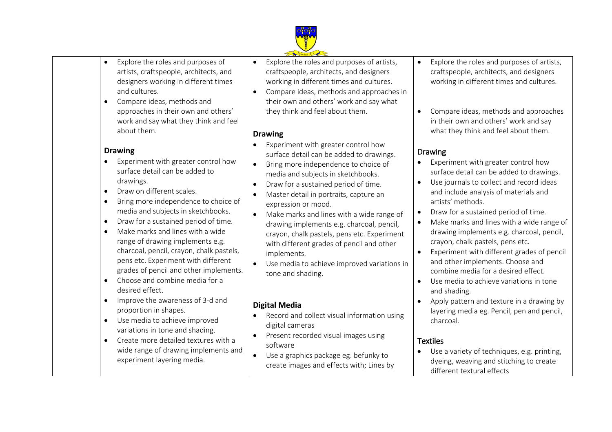

- Explore the roles and purposes of artists, craftspeople, architects, and designers working in different times and cultures.
- Compare ideas, methods and approaches in their own and others' work and say what they think and feel about them.

#### **Drawing**

- Experiment with greater control how surface detail can be added to drawings.
- Draw on different scales.
- Bring more independence to choice of media and subjects in sketchbooks.
- Draw for a sustained period of time.
- Make marks and lines with a wide range of drawing implements e.g. charcoal, pencil, crayon, chalk pastels, pens etc. Experiment with different grades of pencil and other implements.
- Choose and combine media for a desired effect.
- Improve the awareness of 3-d and proportion in shapes.
- Use media to achieve improved variations in tone and shading.
- Create more detailed textures with a wide range of drawing implements and experiment layering media.
- Explore the roles and purposes of artists, craftspeople, architects, and designers working in different times and cultures.
- Compare ideas, methods and approaches in their own and others' work and say what they think and feel about them.

#### **Drawing**

- Experiment with greater control how surface detail can be added to drawings.
- Bring more independence to choice of media and subjects in sketchbooks.
- Draw for a sustained period of time.
- Master detail in portraits, capture an expression or mood.
- Make marks and lines with a wide range of drawing implements e.g. charcoal, pencil, crayon, chalk pastels, pens etc. Experiment with different grades of pencil and other implements.
- Use media to achieve improved variations in tone and shading.

# **Digital Media**

- Record and collect visual information using digital cameras
- Present recorded visual images using software
- Use a graphics package eg. befunky to create images and effects with; Lines by
- Explore the roles and purposes of artists, craftspeople, architects, and designers working in different times and cultures.
- Compare ideas, methods and approaches in their own and others' work and say what they think and feel about them.

### Drawing

- Experiment with greater control how surface detail can be added to drawings.
- Use journals to collect and record ideas and include analysis of materials and artists' methods.
- Draw for a sustained period of time.
- Make marks and lines with a wide range of drawing implements e.g. charcoal, pencil, crayon, chalk pastels, pens etc.
- Experiment with different grades of pencil and other implements. Choose and combine media for a desired effect.
- Use media to achieve variations in tone and shading.
- Apply pattern and texture in a drawing by layering media eg. Pencil, pen and pencil, charcoal.

#### **Textiles**

 Use a variety of techniques, e.g. printing, dyeing, weaving and stitching to create different textural effects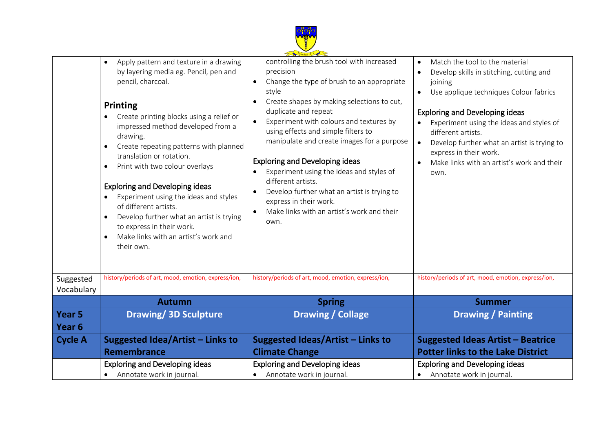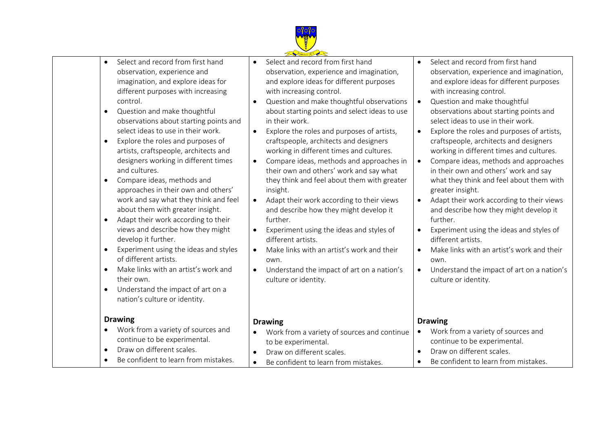

- Select and record from first hand observation, experience and imagination, and explore ideas for different purposes with increasing control.
- Question and make thoughtful observations about starting points and select ideas to use in their work.
- Explore the roles and purposes of artists, craftspeople, architects and designers working in different times and cultures.
- Compare ideas, methods and approaches in their own and others' work and say what they think and feel about them with greater insight.
- Adapt their work according to their views and describe how they might develop it further.
- Experiment using the ideas and styles of different artists.
- Make links with an artist's work and their own.
- Understand the impact of art on a nation's culture or identity.

#### **Drawing**

- Work from a variety of sources and continue to be experimental. • Draw on different scales.
- Be confident to learn from mistakes
- Select and record from first hand observation, experience and imagination, and explore ideas for different purposes with increasing control.
- Question and make thoughtful observations about starting points and select ideas to use in their work.
- Explore the roles and purposes of artists, craftspeople, architects and designers working in different times and cultures.
- Compare ideas, methods and approaches in their own and others' work and say what they think and feel about them with greater insight.
- Adapt their work according to their views and describe how they might develop it further.
- Experiment using the ideas and styles of different artists.
- Make links with an artist's work and their own.
- Understand the impact of art on a nation's culture or identity.

# **Drawing**

- Work from a variety of sources and continue to be experimental. • Draw on different scales.
- Be confident to learn from mistakes.
- Select and record from first hand observation, experience and imagination, and explore ideas for different purposes with increasing control.
- Question and make thoughtful observations about starting points and select ideas to use in their work.
- Explore the roles and purposes of artists. craftspeople, architects and designers working in different times and cultures.
- Compare ideas, methods and approaches in their own and others' work and say what they think and feel about them with greater insight.
- Adapt their work according to their views and describe how they might develop it further.
- Experiment using the ideas and styles of different artists.
- Make links with an artist's work and their own.
- Understand the impact of art on a nation's culture or identity.

#### **Drawing**

- Work from a variety of sources and continue to be experimental.
- Draw on different scales.
- Be confident to learn from mistakes.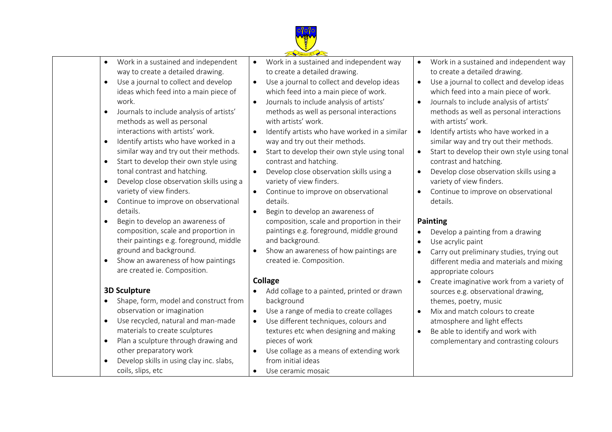

- Work in a sustained and independent way to create a detailed drawing.
- Use a journal to collect and develop ideas which feed into a main piece of work.
- Journals to include analysis of artists' methods as well as personal interactions with artists' work.
- Identify artists who have worked in a similar way and try out their methods.
- Start to develop their own style using tonal contrast and hatching.
- Develop close observation skills using a variety of view finders.
- Continue to improve on observational details.
- Begin to develop an awareness of composition, scale and proportion in their paintings e.g. foreground, middle ground and background.
- Show an awareness of how paintings are created ie. Composition.

# **3D Sculpture**

- Shape, form, model and construct from observation or imagination
- Use recycled, natural and man-made materials to create sculptures
- Plan a sculpture through drawing and other preparatory work
- Develop skills in using clay inc. slabs, coils, slips, etc
- Work in a sustained and independent way to create a detailed drawing.
- Use a journal to collect and develop ideas which feed into a main piece of work.
- Journals to include analysis of artists' methods as well as personal interactions with artists' work.
- Identify artists who have worked in a similar way and try out their methods.
- Start to develop their own style using tonal contrast and hatching.
- Develop close observation skills using a variety of view finders.
- Continue to improve on observational details.
- Begin to develop an awareness of composition, scale and proportion in their paintings e.g. foreground, middle ground and background.
- Show an awareness of how paintings are created ie. Composition.

#### **Collage**

- Add collage to a painted, printed or drawn background
- Use a range of media to create collages
- Use different techniques, colours and textures etc when designing and making pieces of work
- Use collage as a means of extending work from initial ideas
- Work in a sustained and independent way to create a detailed drawing.
- Use a journal to collect and develop ideas which feed into a main piece of work.
- Journals to include analysis of artists' methods as well as personal interactions with artists' work.
- Identify artists who have worked in a similar way and try out their methods.
- Start to develop their own style using tonal contrast and hatching.
- Develop close observation skills using a variety of view finders.
- Continue to improve on observational details.

#### **Painting**

- Develop a painting from a drawing
- Use acrylic paint
- Carry out preliminary studies, trying out different media and materials and mixing appropriate colours
- Create imaginative work from a variety of sources e.g. observational drawing, themes, poetry, music
- Mix and match colours to create atmosphere and light effects
- Be able to identify and work with complementary and contrasting colours
- Use ceramic mosaic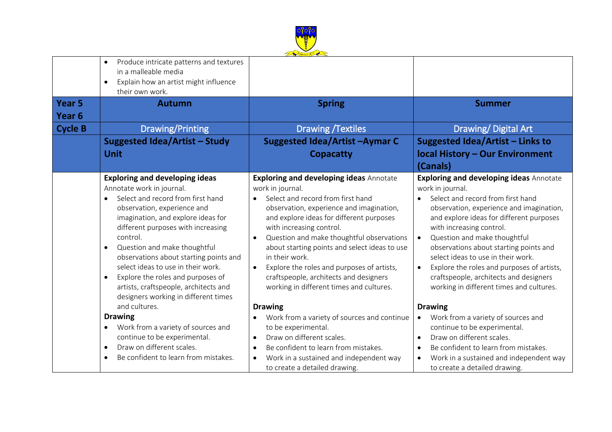

|                   | Produce intricate patterns and textures<br>in a malleable media<br>Explain how an artist might influence<br>$\bullet$<br>their own work.                                                                                                                                                                                                                                                                                                                                                       |                                                                                                                                                                                                                                                                                                                                                                                                                                                                                              |                                                                                                                                                                                                                                                                                                                                                                                                                                                                                                                        |
|-------------------|------------------------------------------------------------------------------------------------------------------------------------------------------------------------------------------------------------------------------------------------------------------------------------------------------------------------------------------------------------------------------------------------------------------------------------------------------------------------------------------------|----------------------------------------------------------------------------------------------------------------------------------------------------------------------------------------------------------------------------------------------------------------------------------------------------------------------------------------------------------------------------------------------------------------------------------------------------------------------------------------------|------------------------------------------------------------------------------------------------------------------------------------------------------------------------------------------------------------------------------------------------------------------------------------------------------------------------------------------------------------------------------------------------------------------------------------------------------------------------------------------------------------------------|
| Year <sub>5</sub> | <b>Autumn</b>                                                                                                                                                                                                                                                                                                                                                                                                                                                                                  | <b>Spring</b>                                                                                                                                                                                                                                                                                                                                                                                                                                                                                | <b>Summer</b>                                                                                                                                                                                                                                                                                                                                                                                                                                                                                                          |
| Year <sub>6</sub> |                                                                                                                                                                                                                                                                                                                                                                                                                                                                                                |                                                                                                                                                                                                                                                                                                                                                                                                                                                                                              |                                                                                                                                                                                                                                                                                                                                                                                                                                                                                                                        |
| <b>Cycle B</b>    | Drawing/Printing                                                                                                                                                                                                                                                                                                                                                                                                                                                                               | <b>Drawing /Textiles</b>                                                                                                                                                                                                                                                                                                                                                                                                                                                                     | Drawing/Digital Art                                                                                                                                                                                                                                                                                                                                                                                                                                                                                                    |
|                   | <b>Suggested Idea/Artist - Study</b>                                                                                                                                                                                                                                                                                                                                                                                                                                                           | Suggested Idea/Artist-Aymar C                                                                                                                                                                                                                                                                                                                                                                                                                                                                | Suggested Idea/Artist - Links to                                                                                                                                                                                                                                                                                                                                                                                                                                                                                       |
|                   | <b>Unit</b>                                                                                                                                                                                                                                                                                                                                                                                                                                                                                    | <b>Copacatty</b>                                                                                                                                                                                                                                                                                                                                                                                                                                                                             | <b>local History - Our Environment</b><br>(Canals)                                                                                                                                                                                                                                                                                                                                                                                                                                                                     |
|                   | <b>Exploring and developing ideas</b><br>Annotate work in journal.<br>Select and record from first hand<br>$\bullet$<br>observation, experience and<br>imagination, and explore ideas for<br>different purposes with increasing<br>control.<br>Question and make thoughtful<br>observations about starting points and<br>select ideas to use in their work.<br>Explore the roles and purposes of<br>$\bullet$<br>artists, craftspeople, architects and<br>designers working in different times | <b>Exploring and developing ideas Annotate</b><br>work in journal.<br>Select and record from first hand<br>$\bullet$<br>observation, experience and imagination,<br>and explore ideas for different purposes<br>with increasing control.<br>Question and make thoughtful observations<br>about starting points and select ideas to use<br>in their work.<br>Explore the roles and purposes of artists,<br>craftspeople, architects and designers<br>working in different times and cultures. | <b>Exploring and developing ideas Annotate</b><br>work in journal.<br>Select and record from first hand<br>$\bullet$<br>observation, experience and imagination,<br>and explore ideas for different purposes<br>with increasing control.<br>Question and make thoughtful<br>$\bullet$<br>observations about starting points and<br>select ideas to use in their work.<br>Explore the roles and purposes of artists,<br>$\bullet$<br>craftspeople, architects and designers<br>working in different times and cultures. |
|                   | and cultures.                                                                                                                                                                                                                                                                                                                                                                                                                                                                                  | <b>Drawing</b>                                                                                                                                                                                                                                                                                                                                                                                                                                                                               | <b>Drawing</b>                                                                                                                                                                                                                                                                                                                                                                                                                                                                                                         |
|                   | <b>Drawing</b><br>Work from a variety of sources and<br>$\bullet$<br>continue to be experimental.<br>Draw on different scales.<br>$\bullet$<br>Be confident to learn from mistakes.<br>$\bullet$                                                                                                                                                                                                                                                                                               | Work from a variety of sources and continue<br>to be experimental.<br>Draw on different scales.<br>Be confident to learn from mistakes.<br>Work in a sustained and independent way<br>$\bullet$<br>to create a detailed drawing.                                                                                                                                                                                                                                                             | Work from a variety of sources and<br>continue to be experimental.<br>Draw on different scales.<br>$\bullet$<br>Be confident to learn from mistakes.<br>$\bullet$<br>Work in a sustained and independent way<br>$\bullet$<br>to create a detailed drawing.                                                                                                                                                                                                                                                             |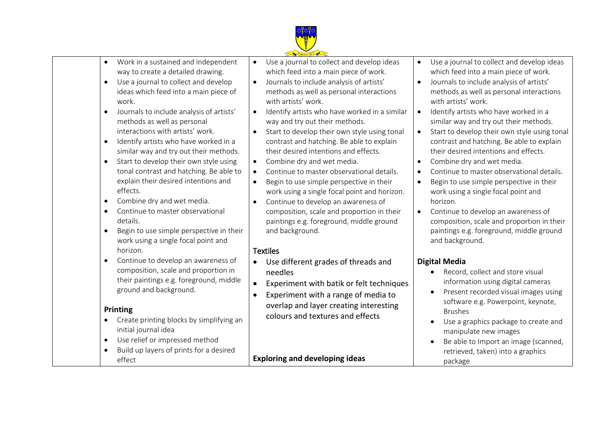

- Work in a sustained and independent way to create a detailed drawing.
- Use a journal to collect and develop ideas which feed into a main piece of work.
- Journals to include analysis of artists' methods as well as personal interactions with artists' work.
- Identify artists who have worked in a similar way and try out their methods.
- Start to develop their own style using tonal contrast and hatching. Be able to explain their desired intentions and effects.
- Combine dry and wet media.
- Continue to master observational details.
- Begin to use simple perspective in their work using a single focal point and horizon.
- Continue to develop an awareness of composition, scale and proportion in their paintings e.g. foreground, middle ground and background.

#### **Printing**

- Create printing blocks by simplifying an initial journal idea
- Use relief or impressed method
- Build up layers of prints for a desired effect
- Use a journal to collect and develop ideas which feed into a main piece of work.
- Journals to include analysis of artists' methods as well as personal interactions with artists' work.
- Identify artists who have worked in a similar way and try out their methods.
- Start to develop their own style using tonal contrast and hatching. Be able to explain their desired intentions and effects.
- Combine dry and wet media.
- Continue to master observational details.
- Begin to use simple perspective in their work using a single focal point and horizon.
- Continue to develop an awareness of composition, scale and proportion in their paintings e.g. foreground, middle ground and background.

# **Textiles**

- Use different grades of threads and needles
- Experiment with batik or felt techniques
- Experiment with a range of media to overlap and layer creating interesting colours and textures and effects

**Exploring and developing ideas**

- Use a journal to collect and develop ideas which feed into a main piece of work.
- Journals to include analysis of artists' methods as well as personal interactions with artists' work.
- Identify artists who have worked in a similar way and try out their methods.
- Start to develop their own style using tonal contrast and hatching. Be able to explain their desired intentions and effects.
- Combine dry and wet media.
- Continue to master observational details.
- Begin to use simple perspective in their work using a single focal point and horizon.
- Continue to develop an awareness of composition, scale and proportion in their paintings e.g. foreground, middle ground and background.

# **Digital Media**

- Record, collect and store visual information using digital cameras
- Present recorded visual images using software e.g. Powerpoint, keynote, Brushes
- Use a graphics package to create and manipulate new images
- Be able to Import an image (scanned, retrieved, taken) into a graphics package